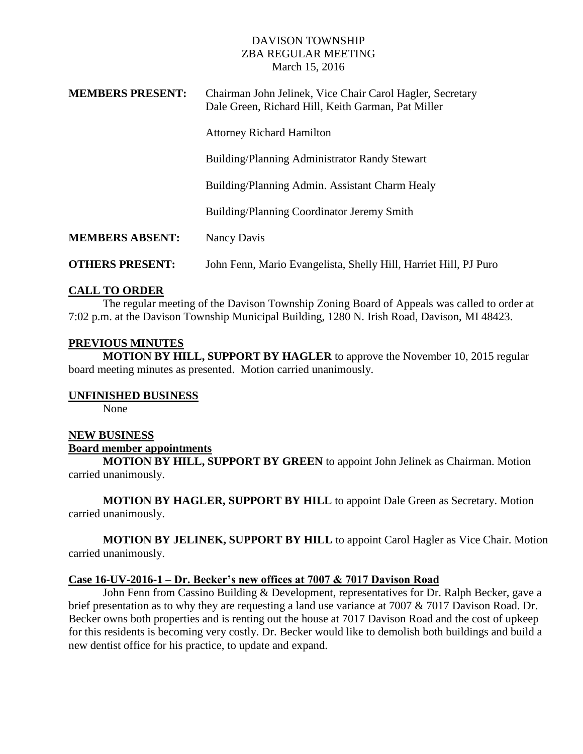# DAVISON TOWNSHIP ZBA REGULAR MEETING March 15, 2016

| <b>MEMBERS PRESENT:</b> | Chairman John Jelinek, Vice Chair Carol Hagler, Secretary<br>Dale Green, Richard Hill, Keith Garman, Pat Miller |
|-------------------------|-----------------------------------------------------------------------------------------------------------------|
|                         | <b>Attorney Richard Hamilton</b>                                                                                |
|                         | Building/Planning Administrator Randy Stewart                                                                   |
|                         | Building/Planning Admin. Assistant Charm Healy                                                                  |
|                         | Building/Planning Coordinator Jeremy Smith                                                                      |
| <b>MEMBERS ABSENT:</b>  | Nancy Davis                                                                                                     |
| <b>OTHERS PRESENT:</b>  | John Fenn, Mario Evangelista, Shelly Hill, Harriet Hill, PJ Puro                                                |

# **CALL TO ORDER**

The regular meeting of the Davison Township Zoning Board of Appeals was called to order at 7:02 p.m. at the Davison Township Municipal Building, 1280 N. Irish Road, Davison, MI 48423.

## **PREVIOUS MINUTES**

**MOTION BY HILL, SUPPORT BY HAGLER** to approve the November 10, 2015 regular board meeting minutes as presented. Motion carried unanimously.

## **UNFINISHED BUSINESS**

None

### **NEW BUSINESS**

#### **Board member appointments**

**MOTION BY HILL, SUPPORT BY GREEN** to appoint John Jelinek as Chairman. Motion carried unanimously.

**MOTION BY HAGLER, SUPPORT BY HILL** to appoint Dale Green as Secretary. Motion carried unanimously.

**MOTION BY JELINEK, SUPPORT BY HILL** to appoint Carol Hagler as Vice Chair. Motion carried unanimously.

#### **Case 16-UV-2016-1 – Dr. Becker's new offices at 7007 & 7017 Davison Road**

 John Fenn from Cassino Building & Development, representatives for Dr. Ralph Becker, gave a brief presentation as to why they are requesting a land use variance at 7007 & 7017 Davison Road. Dr. Becker owns both properties and is renting out the house at 7017 Davison Road and the cost of upkeep for this residents is becoming very costly. Dr. Becker would like to demolish both buildings and build a new dentist office for his practice, to update and expand.